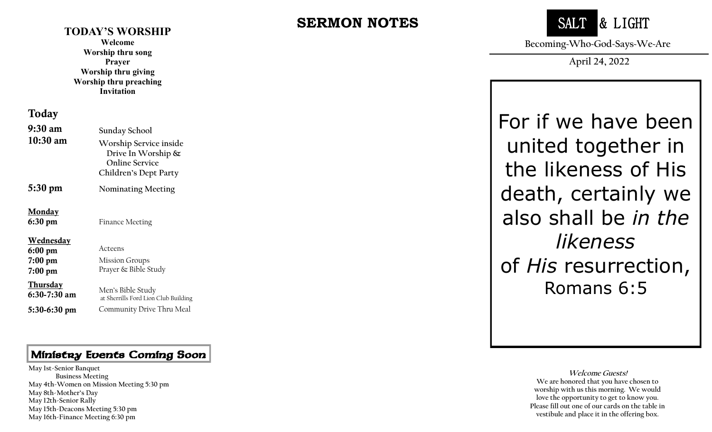#### **TODAY'S WORSHIP**

**Welcome Worship thru song Prayer Worship thru giving Worship thru preaching Invitation**

#### Today

| $9:30$ am                                                       | Sunday School                                                                                     |
|-----------------------------------------------------------------|---------------------------------------------------------------------------------------------------|
| $10:30$ am                                                      | Worship Service inside<br>Drive In Worship $\&$<br><b>Online Service</b><br>Children's Dept Party |
| 5:30 pm                                                         | Nominating Meeting                                                                                |
| <b>Monday</b><br>6:30 pm                                        | <b>Finance Meeting</b>                                                                            |
| <u>Wednesday</u><br>$6:00 \text{ pm}$<br>$7:00$ pm<br>$7:00$ pm | Acteens<br><b>Mission Groups</b><br>Prayer & Bible Study                                          |
| <u>Thursday</u><br>$6:30-7:30$ am                               | Men's Bible Study<br>at Sherrills Ford Lion Club Building                                         |
| 5:30-6:30 pm                                                    | Community Drive Thru Meal                                                                         |

## Ministry Events Coming Soon

 **May 12th -Senior Rally May 1st -Senior Banquet Business Meeting May 4th -Women on Mission Meeting 5:30 pm May 8th -Mother's Day May 15th -Deacons Meeting 5:30 pm May 16th -Finance Meeting 6:30 pm**

# **SERMON NOTES**



**Becoming~Who~God~Says~We~Are**

**April 24, 2022**

For if we have been united together in the likeness of His death, certainly we also shall be *in the likeness*  of *His* resurrection, Romans 6:5

> **Welcome Guests! We are honored that you have chosen to worship with us this morning. We would love the opportunity to get to know you. Please fill out one of our cards on the table in vestibule and place it in the offering box.**